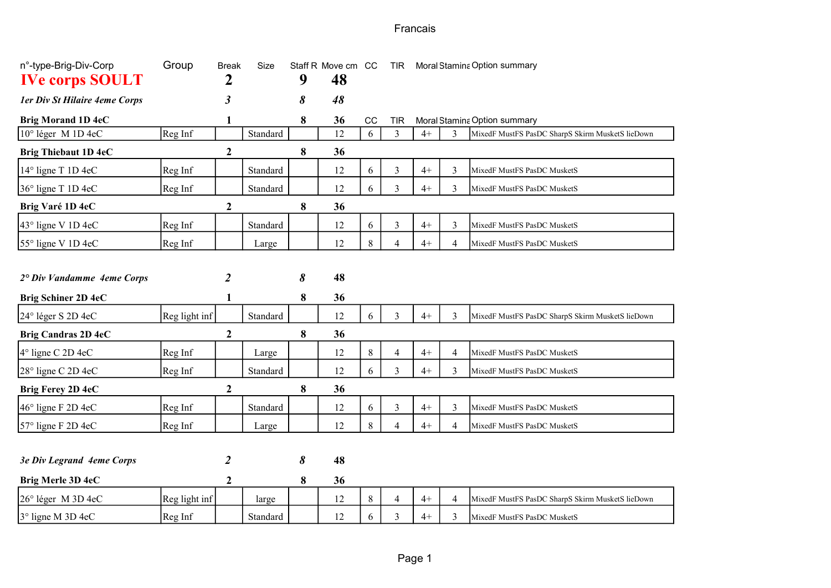Francais

| n°-type-Brig-Div-Corp<br><b>IVe corps SOULT</b> | Group         | <b>Break</b><br>2 | Size     | 9 | Staff R Move cm CC<br>48 |       | <b>TIR</b>               | Moral Stamina Option summary |                |                                                  |
|-------------------------------------------------|---------------|-------------------|----------|---|--------------------------|-------|--------------------------|------------------------------|----------------|--------------------------------------------------|
| 1er Div St Hilaire 4eme Corps                   |               | 3                 |          | 8 | 48                       |       |                          |                              |                |                                                  |
| <b>Brig Morand 1D 4eC</b>                       |               | 1                 |          | 8 | 36                       | CC    | <b>TIR</b>               |                              |                | Moral Stamina Option summary                     |
| 10° léger M 1D 4eC                              | Reg Inf       |                   | Standard |   | 12                       | 6     | 3                        | $4+$                         | 3              | MixedF MustFS PasDC SharpS Skirm MusketS lieDown |
| <b>Brig Thiebaut 1D 4eC</b>                     |               | $\mathbf{2}$      |          | 8 | 36                       |       |                          |                              |                |                                                  |
| 14° ligne T 1D 4eC                              | Reg Inf       |                   | Standard |   | 12                       | 6     | 3                        | $4+$                         | $\mathfrak{Z}$ | MixedF MustFS PasDC MusketS                      |
| 36° ligne T 1D 4eC                              | Reg Inf       |                   | Standard |   | 12                       | 6     | 3                        | $4+$                         | 3              | MixedF MustFS PasDC MusketS                      |
| Brig Varé 1D 4eC                                |               | $\mathbf{2}$      |          | 8 | 36                       |       |                          |                              |                |                                                  |
| 43° ligne V 1D 4eC                              | Reg Inf       |                   | Standard |   | 12                       | 6     | 3                        | $4+$                         | $\mathfrak{Z}$ | MixedF MustFS PasDC MusketS                      |
| 55° ligne V 1D 4eC                              | Reg Inf       |                   | Large    |   | 12                       | $8\,$ | $\overline{4}$           | $4+$                         | $\overline{4}$ | MixedF MustFS PasDC MusketS                      |
|                                                 |               |                   |          |   |                          |       |                          |                              |                |                                                  |
| 2° Div Vandamme 4eme Corps                      |               | 2                 |          | 8 | 48                       |       |                          |                              |                |                                                  |
| Brig Schiner 2D 4eC                             |               | 1                 |          | 8 | 36                       |       |                          |                              |                |                                                  |
| 24° léger S 2D 4eC                              | Reg light inf |                   | Standard |   | 12                       | 6     | 3                        | $4+$                         | 3              | MixedF MustFS PasDC SharpS Skirm MusketS lieDown |
| Brig Candras 2D 4eC                             |               | 2                 |          | 8 | 36                       |       |                          |                              |                |                                                  |
| $4°$ ligne C 2D 4eC                             | Reg Inf       |                   | Large    |   | 12                       | 8     | $\overline{\mathcal{A}}$ | $4+$                         | $\overline{4}$ | MixedF MustFS PasDC MusketS                      |
| $28^\circ$ ligne C 2D 4eC                       | Reg Inf       |                   | Standard |   | 12                       | 6     | 3                        | $4+$                         | 3              | MixedF MustFS PasDC MusketS                      |
| Brig Ferey 2D 4eC                               |               | $\boldsymbol{2}$  |          | 8 | 36                       |       |                          |                              |                |                                                  |
| $46^\circ$ ligne F 2D 4eC                       | Reg Inf       |                   | Standard |   | 12                       | 6     | 3                        | $4+$                         | 3              | MixedF MustFS PasDC MusketS                      |
| 57° ligne F 2D 4eC                              | Reg Inf       |                   | Large    |   | 12                       | 8     | 4                        | $4+$                         | $\overline{4}$ | MixedF MustFS PasDC MusketS                      |
|                                                 |               |                   |          |   |                          |       |                          |                              |                |                                                  |
| 3e Div Legrand 4eme Corps                       |               | 2                 |          | 8 | 48                       |       |                          |                              |                |                                                  |
| Brig Merle 3D 4eC                               |               | $\boldsymbol{2}$  |          | 8 | 36                       |       |                          |                              |                |                                                  |
| 26° léger M 3D 4eC                              | Reg light inf |                   | large    |   | 12                       | 8     | $\overline{\mathbf{4}}$  | $4+$                         | $\overline{4}$ | MixedF MustFS PasDC SharpS Skirm MusketS lieDown |
| 3° ligne M 3D 4eC                               | Reg Inf       |                   | Standard |   | 12                       | 6     | 3                        | $4+$                         | 3              | MixedF MustFS PasDC MusketS                      |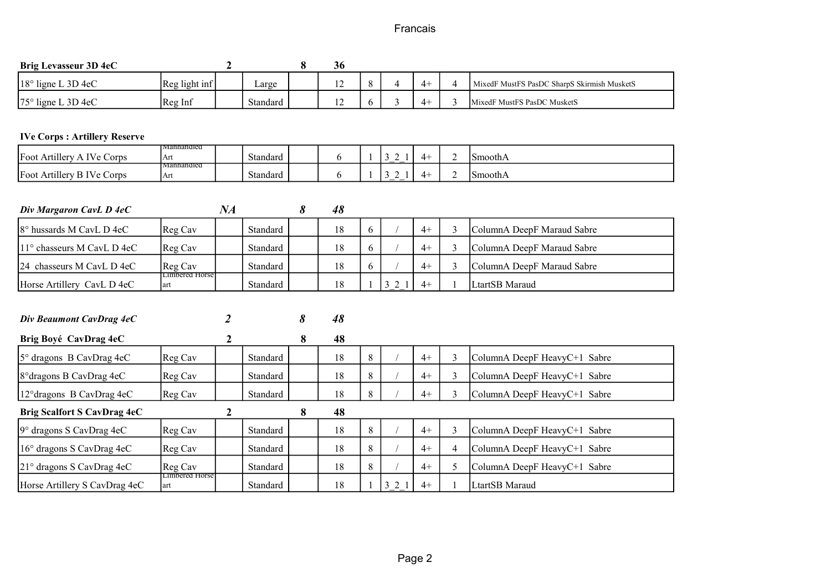## Francais

| Brig Levasseur 3D 4eC               |                                          | $\mathbf{2}$     |          | 8 | 36 |              |                |      |                |                                             |
|-------------------------------------|------------------------------------------|------------------|----------|---|----|--------------|----------------|------|----------------|---------------------------------------------|
| 18° ligne L 3D 4eC                  | Reg light inf                            |                  | Large    |   | 12 | 8            | $\overline{4}$ | $4+$ | 4              | MixedF MustFS PasDC SharpS Skirmish MusketS |
| $75^\circ$ ligne L 3D 4eC           | Reg Inf                                  |                  | Standard |   | 12 | 6            | 3              | $4+$ | 3              | MixedF MustFS PasDC MusketS                 |
|                                     |                                          |                  |          |   |    |              |                |      |                |                                             |
| <b>IVe Corps: Artillery Reserve</b> |                                          |                  |          |   |    |              |                |      |                |                                             |
| Foot Artillery A IVe Corps          | Manhandled<br>Art                        |                  | Standard |   | 6  | $\mathbf{1}$ | 3 2 1          | $4+$ | $\overline{2}$ | SmoothA                                     |
| Foot Artillery B IVe Corps          | Manhandled<br>Art                        |                  | Standard |   | 6  |              | 321            | $4+$ | $\overline{2}$ | SmoothA                                     |
|                                     |                                          |                  |          |   |    |              |                |      |                |                                             |
| Div Margaron CavL D 4eC             |                                          | NA               |          | 8 | 48 |              |                |      |                |                                             |
| 8° hussards M CavL D 4eC            | Reg Cav                                  |                  | Standard |   | 18 | 6            |                | $4+$ | 3              | ColumnA DeepF Maraud Sabre                  |
| 11° chasseurs M CavL D 4eC          | Reg Cav                                  |                  | Standard |   | 18 | 6            |                | $4+$ | 3              | ColumnA DeepF Maraud Sabre                  |
| 24 chasseurs M CavL D 4eC           | Reg Cav                                  |                  | Standard |   | 18 | 6            |                | $4+$ | $\overline{3}$ | ColumnA DeepF Maraud Sabre                  |
| Horse Artillery CavL D 4eC          | <b>Limbered Horse</b><br>art             |                  | Standard |   | 18 |              | 3 2 1          | $4+$ |                | LtartSB Maraud                              |
|                                     |                                          |                  |          |   |    |              |                |      |                |                                             |
| Div Beaumont CavDrag 4eC            |                                          | 2                |          | 8 | 48 |              |                |      |                |                                             |
| Brig Boyé CavDrag 4eC               |                                          | $\boldsymbol{2}$ |          | 8 | 48 |              |                |      |                |                                             |
| 5° dragons B CavDrag 4eC            | Reg Cav                                  |                  | Standard |   | 18 | 8            |                | $4+$ | $\overline{3}$ | ColumnA DeepF HeavyC+1 Sabre                |
| 8° dragons B CavDrag 4eC            | Reg Cav                                  |                  | Standard |   | 18 | 8            |                | $4+$ | 3              | ColumnA DeepF HeavyC+1 Sabre                |
| 12° dragons B CavDrag 4eC           | Reg Cav                                  |                  | Standard |   | 18 | 8            |                | $4+$ | 3              | ColumnA DeepF HeavyC+1 Sabre                |
| <b>Brig Scalfort S CavDrag 4eC</b>  |                                          | $\mathbf{2}$     |          | 8 | 48 |              |                |      |                |                                             |
| 9° dragons S CavDrag 4eC            | Reg Cav                                  |                  | Standard |   | 18 | 8            |                | $4+$ | $\overline{3}$ | ColumnA DeepF HeavyC+1 Sabre                |
| 16° dragons S CavDrag 4eC           | Reg Cav                                  |                  | Standard |   | 18 | 8            |                | $4+$ | $\overline{4}$ | ColumnA DeepF HeavyC+1 Sabre                |
| 21° dragons S CavDrag 4eC           | Reg Cav<br>$L$ <sub>I</sub> mbered Horse |                  | Standard |   | 18 | $\,8\,$      |                | $4+$ | 5              | ColumnA DeepF HeavyC+1 Sabre                |
| Horse Artillery S CavDrag 4eC       | art                                      |                  | Standard |   | 18 | 1            | 3 2 1          | $4+$ |                | LtartSB Maraud                              |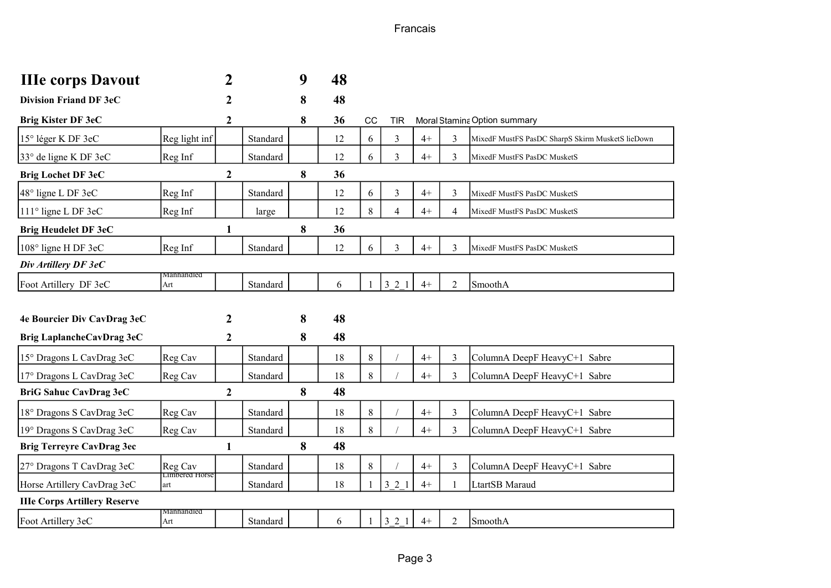Francais

| <b>IIIe corps Davout</b>            |                              | 2                |          | 9 | 48 |              |                |      |                |                                                  |
|-------------------------------------|------------------------------|------------------|----------|---|----|--------------|----------------|------|----------------|--------------------------------------------------|
| <b>Division Friand DF 3eC</b>       |                              | 2                |          | 8 | 48 |              |                |      |                |                                                  |
| Brig Kister DF 3eC                  |                              | $\boldsymbol{2}$ |          | 8 | 36 | CC           | <b>TIR</b>     |      |                | Moral Stamina Option summary                     |
| 15° léger K DF 3eC                  | Reg light inf                |                  | Standard |   | 12 | 6            | $\mathfrak{Z}$ | $4+$ | 3              | MixedF MustFS PasDC SharpS Skirm MusketS lieDown |
| 33° de ligne K DF 3eC               | Reg Inf                      |                  | Standard |   | 12 | 6            | 3              | $4+$ | 3              | MixedF MustFS PasDC MusketS                      |
| <b>Brig Lochet DF 3eC</b>           |                              | $\boldsymbol{2}$ |          | 8 | 36 |              |                |      |                |                                                  |
| $48^\circ$ ligne L DF 3eC           | Reg Inf                      |                  | Standard |   | 12 | 6            | 3              | $4+$ | $\overline{3}$ | MixedF MustFS PasDC MusketS                      |
| 111° ligne L DF 3eC                 | Reg Inf                      |                  | large    |   | 12 | 8            | $\overline{4}$ | $4+$ | $\overline{4}$ | MixedF MustFS PasDC MusketS                      |
| <b>Brig Heudelet DF 3eC</b>         |                              | 1                |          | 8 | 36 |              |                |      |                |                                                  |
| 108° ligne H DF 3eC                 | Reg Inf                      |                  | Standard |   | 12 | 6            | 3              | $4+$ | 3              | MixedF MustFS PasDC MusketS                      |
| Div Artillery DF 3eC                |                              |                  |          |   |    |              |                |      |                |                                                  |
| Foot Artillery DF 3eC               | Manhandled<br>Art            |                  | Standard |   | 6  | $\mathbf{1}$ | 321            | $4+$ | $\overline{2}$ | SmoothA                                          |
|                                     |                              |                  |          |   |    |              |                |      |                |                                                  |
| 4e Bourcier Div CavDrag 3eC         |                              | 2                |          | 8 | 48 |              |                |      |                |                                                  |
| Brig LaplancheCavDrag 3eC           |                              | $\boldsymbol{2}$ |          | 8 | 48 |              |                |      |                |                                                  |
| 15° Dragons L CavDrag 3eC           | Reg Cav                      |                  | Standard |   | 18 | $8\,$        |                | $4+$ | $\overline{3}$ | ColumnA DeepF HeavyC+1 Sabre                     |
| 17° Dragons L CavDrag 3eC           | Reg Cav                      |                  | Standard |   | 18 | $\,8\,$      |                | $4+$ | 3              | ColumnA DeepF HeavyC+1 Sabre                     |
| BriG Sahuc CavDrag 3eC              |                              | $\mathbf{2}$     |          | 8 | 48 |              |                |      |                |                                                  |
| 18° Dragons S CavDrag 3eC           | Reg Cav                      |                  | Standard |   | 18 | $8\,$        |                | $4+$ | $\overline{3}$ | ColumnA DeepF HeavyC+1 Sabre                     |
| 19° Dragons S CavDrag 3eC           | Reg Cav                      |                  | Standard |   | 18 | 8            |                | $4+$ | 3              | ColumnA DeepF HeavyC+1 Sabre                     |
| <b>Brig Terreyre CavDrag 3ec</b>    |                              | $\mathbf{1}$     |          | 8 | 48 |              |                |      |                |                                                  |
| 27° Dragons T CavDrag 3eC           | Reg Cav                      |                  | Standard |   | 18 | $8\,$        |                | $4+$ | $\overline{3}$ | ColumnA DeepF HeavyC+1 Sabre                     |
| Horse Artillery CavDrag 3eC         | <b>Limbered Horse</b><br>art |                  | Standard |   | 18 |              | 3 2 1          | $4+$ |                | LtartSB Maraud                                   |
| <b>IIIe Corps Artillery Reserve</b> |                              |                  |          |   |    |              |                |      |                |                                                  |
| Foot Artillery 3eC                  | viannandied<br>Art           |                  | Standard |   | 6  |              | 3 2 1          | $4+$ | $\overline{2}$ | SmoothA                                          |
|                                     |                              |                  |          |   |    |              |                |      |                |                                                  |